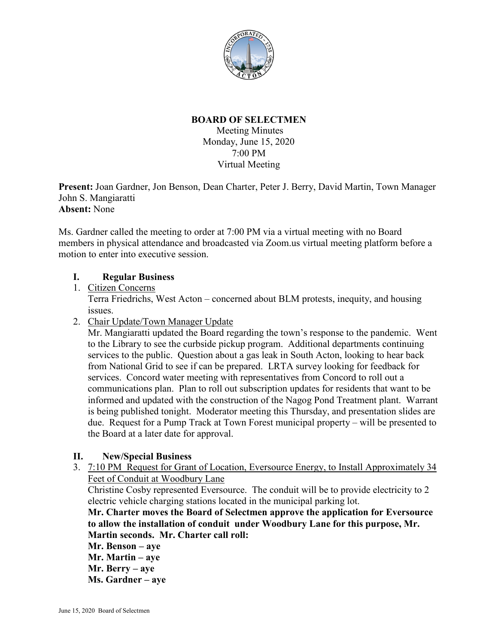

## **BOARD OF SELECTMEN**

Meeting Minutes Monday, June 15, 2020 7:00 PM Virtual Meeting

**Present:** Joan Gardner, Jon Benson, Dean Charter, Peter J. Berry, David Martin, Town Manager John S. Mangiaratti **Absent:** None

Ms. Gardner called the meeting to order at 7:00 PM via a virtual meeting with no Board members in physical attendance and broadcasted via Zoom.us virtual meeting platform before a motion to enter into executive session.

### **I. Regular Business**

1. Citizen Concerns

Terra Friedrichs, West Acton – concerned about BLM protests, inequity, and housing issues.

2. Chair Update/Town Manager Update

Mr. Mangiaratti updated the Board regarding the town's response to the pandemic. Went to the Library to see the curbside pickup program. Additional departments continuing services to the public. Question about a gas leak in South Acton, looking to hear back from National Grid to see if can be prepared. LRTA survey looking for feedback for services. Concord water meeting with representatives from Concord to roll out a communications plan. Plan to roll out subscription updates for residents that want to be informed and updated with the construction of the Nagog Pond Treatment plant. Warrant is being published tonight. Moderator meeting this Thursday, and presentation slides are due. Request for a Pump Track at Town Forest municipal property – will be presented to the Board at a later date for approval.

### **II. New/Special Business**

3. 7:10 PM Request for Grant of Location, Eversource Energy, to Install Approximately 34 Feet of Conduit at Woodbury Lane

Christine Cosby represented Eversource. The conduit will be to provide electricity to 2 electric vehicle charging stations located in the municipal parking lot.

**Mr. Charter moves the Board of Selectmen approve the application for Eversource to allow the installation of conduit under Woodbury Lane for this purpose, Mr. Martin seconds. Mr. Charter call roll:**

**Mr. Benson – aye Mr. Martin – aye Mr. Berry – aye**

**Ms. Gardner – aye**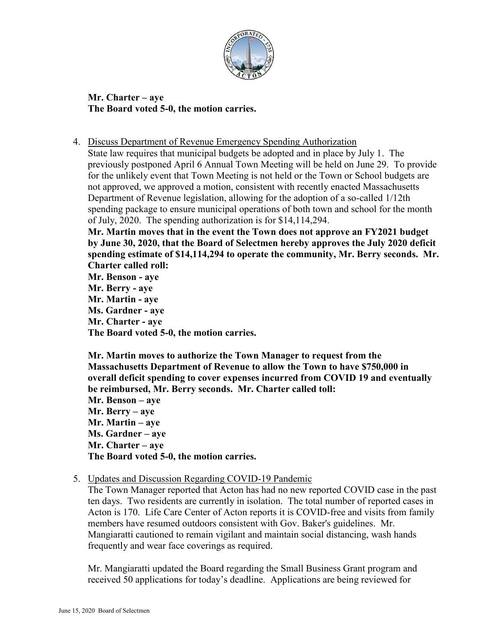

**Mr. Charter – aye The Board voted 5-0, the motion carries.**

4. Discuss Department of Revenue Emergency Spending Authorization

State law requires that municipal budgets be adopted and in place by July 1. The previously postponed April 6 Annual Town Meeting will be held on June 29. To provide for the unlikely event that Town Meeting is not held or the Town or School budgets are not approved, we approved a motion, consistent with recently enacted Massachusetts Department of Revenue legislation, allowing for the adoption of a so-called 1/12th spending package to ensure municipal operations of both town and school for the month of July, 2020. The spending authorization is for \$14,114,294.

**Mr. Martin moves that in the event the Town does not approve an FY2021 budget by June 30, 2020, that the Board of Selectmen hereby approves the July 2020 deficit spending estimate of \$14,114,294 to operate the community, Mr. Berry seconds. Mr. Charter called roll:**

**Mr. Benson - aye Mr. Berry - aye Mr. Martin - aye Ms. Gardner - aye Mr. Charter - aye The Board voted 5-0, the motion carries.**

**Mr. Martin moves to authorize the Town Manager to request from the Massachusetts Department of Revenue to allow the Town to have \$750,000 in overall deficit spending to cover expenses incurred from COVID 19 and eventually be reimbursed, Mr. Berry seconds. Mr. Charter called toll: Mr. Benson – aye Mr. Berry – aye Mr. Martin – aye Ms. Gardner – aye Mr. Charter – aye The Board voted 5-0, the motion carries.**

5. Updates and Discussion Regarding COVID-19 Pandemic

The Town Manager reported that Acton has had no new reported COVID case in the past ten days. Two residents are currently in isolation. The total number of reported cases in Acton is 170. Life Care Center of Acton reports it is COVID-free and visits from family members have resumed outdoors consistent with Gov. Baker's guidelines. Mr. Mangiaratti cautioned to remain vigilant and maintain social distancing, wash hands frequently and wear face coverings as required.

Mr. Mangiaratti updated the Board regarding the Small Business Grant program and received 50 applications for today's deadline. Applications are being reviewed for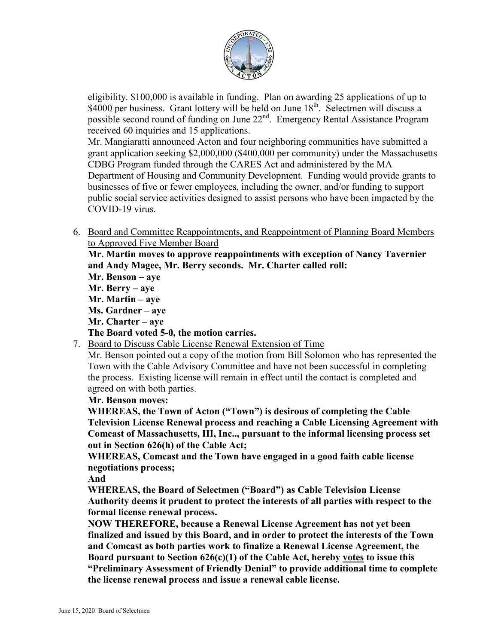

eligibility. \$100,000 is available in funding. Plan on awarding 25 applications of up to \$4000 per business. Grant lottery will be held on June 18<sup>th</sup>. Selectmen will discuss a possible second round of funding on June 22<sup>nd</sup>. Emergency Rental Assistance Program received 60 inquiries and 15 applications.

Mr. Mangiaratti announced Acton and four neighboring communities have submitted a grant application seeking \$2,000,000 (\$400,000 per community) under the Massachusetts CDBG Program funded through the CARES Act and administered by the MA Department of Housing and Community Development. Funding would provide grants to businesses of five or fewer employees, including the owner, and/or funding to support public social service activities designed to assist persons who have been impacted by the COVID-19 virus.

6. Board and Committee Reappointments, and Reappointment of Planning Board Members to Approved Five Member Board

**Mr. Martin moves to approve reappointments with exception of Nancy Tavernier and Andy Magee, Mr. Berry seconds. Mr. Charter called roll:**

- **Mr. Benson – aye Mr. Berry – aye**
- **Mr. Martin – aye**
- **Ms. Gardner – aye**
- **Mr. Charter – aye**

# **The Board voted 5-0, the motion carries.**

7. Board to Discuss Cable License Renewal Extension of Time

Mr. Benson pointed out a copy of the motion from Bill Solomon who has represented the Town with the Cable Advisory Committee and have not been successful in completing the process. Existing license will remain in effect until the contact is completed and agreed on with both parties.

## **Mr. Benson moves:**

**WHEREAS, the Town of Acton ("Town") is desirous of completing the Cable Television License Renewal process and reaching a Cable Licensing Agreement with Comcast of Massachusetts, III, Inc.., pursuant to the informal licensing process set out in Section 626(h) of the Cable Act;**

**WHEREAS, Comcast and the Town have engaged in a good faith cable license negotiations process;**

**And**

**WHEREAS, the Board of Selectmen ("Board") as Cable Television License Authority deems it prudent to protect the interests of all parties with respect to the formal license renewal process.**

**NOW THEREFORE, because a Renewal License Agreement has not yet been finalized and issued by this Board, and in order to protect the interests of the Town and Comcast as both parties work to finalize a Renewal License Agreement, the Board pursuant to Section 626(c)(1) of the Cable Act, hereby votes to issue this "Preliminary Assessment of Friendly Denial" to provide additional time to complete the license renewal process and issue a renewal cable license.**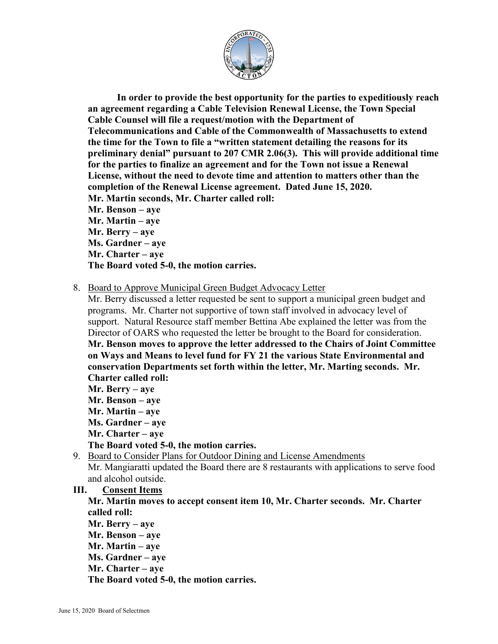

**In order to provide the best opportunity for the parties to expeditiously reach an agreement regarding a Cable Television Renewal License, the Town Special Cable Counsel will file a request/motion with the Department of Telecommunications and Cable of the Commonwealth of Massachusetts to extend the time for the Town to file a "written statement detailing the reasons for its preliminary denial" pursuant to 207 CMR 2.06(3). This will provide additional time for the parties to finalize an agreement and for the Town not issue a Renewal License, without the need to devote time and attention to matters other than the completion of the Renewal License agreement. Dated June 15, 2020. Mr. Martin seconds, Mr. Charter called roll: Mr. Benson – aye Mr. Martin – aye Mr. Berry – aye Ms. Gardner – aye Mr. Charter – aye The Board voted 5-0, the motion carries.**

#### 8. Board to Approve Municipal Green Budget Advocacy Letter

Mr. Berry discussed a letter requested be sent to support a municipal green budget and programs. Mr. Charter not supportive of town staff involved in advocacy level of support. Natural Resource staff member Bettina Abe explained the letter was from the Director of OARS who requested the letter be brought to the Board for consideration. **Mr. Benson moves to approve the letter addressed to the Chairs of Joint Committee on Ways and Means to level fund for FY 21 the various State Environmental and conservation Departments set forth within the letter, Mr. Marting seconds. Mr. Charter called roll:**

**Mr. Berry – aye Mr. Benson – aye Mr. Martin – aye Ms. Gardner – aye Mr. Charter – aye The Board voted 5-0, the motion carries.**

9. Board to Consider Plans for Outdoor Dining and License Amendments Mr. Mangiaratti updated the Board there are 8 restaurants with applications to serve food and alcohol outside.

#### **III. Consent Items**

**Mr. Martin moves to accept consent item 10, Mr. Charter seconds. Mr. Charter called roll:**

- **Mr. Berry – aye**
- **Mr. Benson – aye**
- **Mr. Martin – aye**
- **Ms. Gardner – aye**
- **Mr. Charter – aye**

**The Board voted 5-0, the motion carries.**